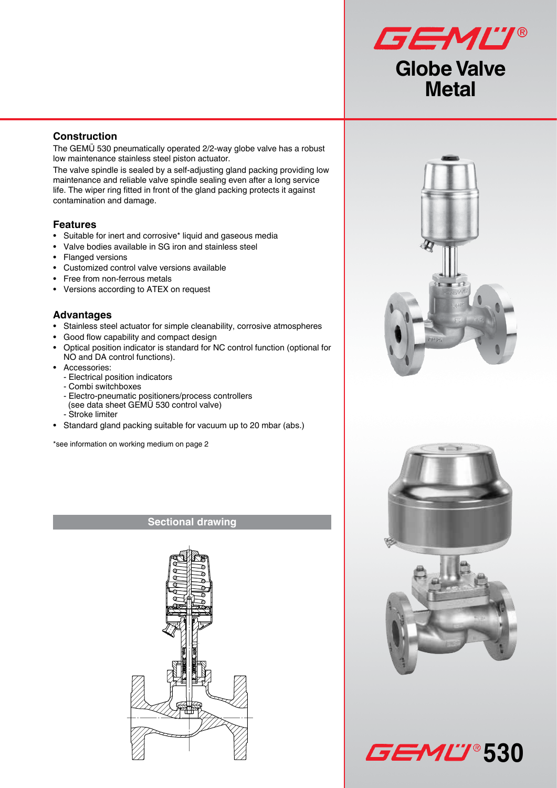

### **Construction**

The GEMÜ 530 pneumatically operated 2/2-way globe valve has a robust low maintenance stainless steel piston actuator.

The valve spindle is sealed by a self-adjusting gland packing providing low maintenance and reliable valve spindle sealing even after a long service life. The wiper ring fitted in front of the gland packing protects it against contamination and damage.

### **Features**

- Suitable for inert and corrosive\* liquid and gaseous media
- Valve bodies available in SG iron and stainless steel
- Flanged versions
- Customized control valve versions available
- Free from non-ferrous metals
- Versions according to ATEX on request

#### **Advantages**

- Stainless steel actuator for simple cleanability, corrosive atmospheres
- Good flow capability and compact design
- Optical position indicator is standard for NC control function (optional for NO and DA control functions).
- Accessories:
	- Electrical position indicators
	- Combi switchboxes
	- Electro-pneumatic positioners/process controllers (see data sheet GEMÜ 530 control valve)
	- Stroke limiter
- Standard gland packing suitable for vacuum up to 20 mbar (abs.)

\*see information on working medium on page 2

#### **Sectional drawing**







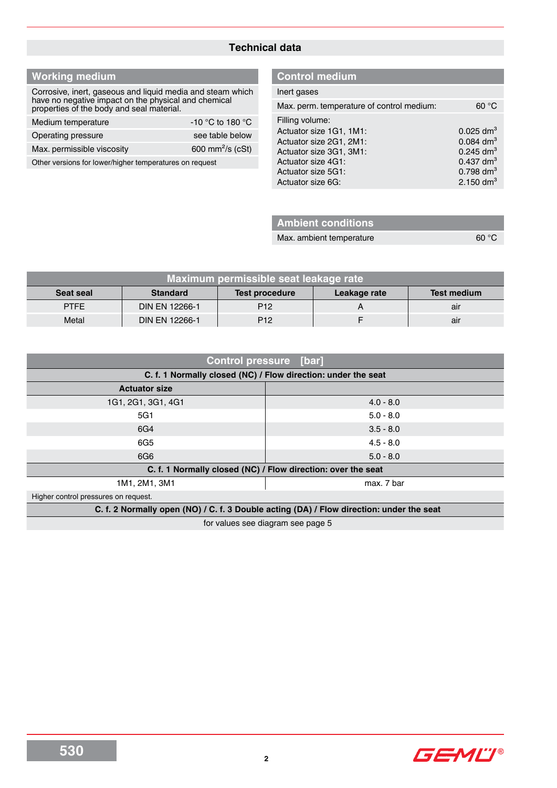#### **Technical data**

## **Working medium**

Corrosive, inert, gaseous and liquid media and steam which have no negative impact on the physical and chemical properties of the body and seal material.

| Medium temperature         | $-10$ °C to 180 °C           |
|----------------------------|------------------------------|
| Operating pressure         | see table below              |
| Max. permissible viscosity | 600 mm <sup>2</sup> /s (cSt) |
|                            |                              |

Other versions for lower/higher temperatures on request

#### **Control medium**

| Inert gases                               |                         |
|-------------------------------------------|-------------------------|
| Max. perm. temperature of control medium: | 60 °C                   |
| Filling volume:                           |                         |
| Actuator size 1G1, 1M1:                   | $0.025$ dm <sup>3</sup> |
| Actuator size 2G1, 2M1:                   | $0.084$ dm <sup>3</sup> |
| Actuator size 3G1, 3M1:                   | $0.245$ dm <sup>3</sup> |
| Actuator size 4G1:                        | $0.437$ dm <sup>3</sup> |
| Actuator size 5G1:                        | $0.798$ dm <sup>3</sup> |
| Actuator size 6G:                         | 2.150 $\rm{dm^3}$       |
|                                           |                         |

## **Ambient conditions**

Max. ambient temperature 60 °C

| Maximum permissible seat leakage rate |                 |                       |              |             |  |  |
|---------------------------------------|-----------------|-----------------------|--------------|-------------|--|--|
| <b>Seat seal</b>                      | <b>Standard</b> | <b>Test procedure</b> | Leakage rate | Test medium |  |  |
| <b>PTFE</b>                           | DIN EN 12266-1  | P <sub>12</sub>       |              | air         |  |  |
| Metal                                 | DIN EN 12266-1  | P <sub>12</sub>       |              | air         |  |  |

| <b>Control pressure [bar]</b>                                                            |                                                              |  |  |  |  |
|------------------------------------------------------------------------------------------|--------------------------------------------------------------|--|--|--|--|
| C. f. 1 Normally closed (NC) / Flow direction: under the seat                            |                                                              |  |  |  |  |
| <b>Actuator size</b>                                                                     |                                                              |  |  |  |  |
| 1G1, 2G1, 3G1, 4G1                                                                       | $4.0 - 8.0$                                                  |  |  |  |  |
| 5G1                                                                                      | $5.0 - 8.0$                                                  |  |  |  |  |
| 6G4                                                                                      | $3.5 - 8.0$                                                  |  |  |  |  |
| 6G5                                                                                      | $4.5 - 8.0$                                                  |  |  |  |  |
| 6G6                                                                                      | $5.0 - 8.0$                                                  |  |  |  |  |
|                                                                                          | C. f. 1 Normally closed (NC) / Flow direction: over the seat |  |  |  |  |
| 1M1, 2M1, 3M1                                                                            | max. 7 bar                                                   |  |  |  |  |
| Higher control pressures on request.                                                     |                                                              |  |  |  |  |
| C. f. 2 Normally open (NO) / C. f. 3 Double acting (DA) / Flow direction: under the seat |                                                              |  |  |  |  |
| for values see diagram see page 5                                                        |                                                              |  |  |  |  |

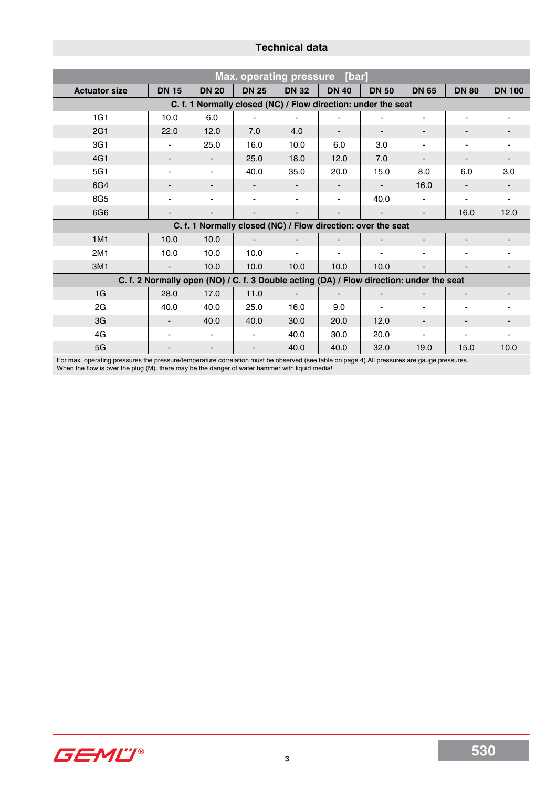## **Technical data**

| <b>Max. operating pressure</b><br>[bar] |                          |                                                                                          |              |                          |                          |                          |              |              |               |
|-----------------------------------------|--------------------------|------------------------------------------------------------------------------------------|--------------|--------------------------|--------------------------|--------------------------|--------------|--------------|---------------|
| <b>Actuator size</b>                    | <b>DN 15</b>             | <b>DN 20</b>                                                                             | <b>DN 25</b> | <b>DN 32</b>             | <b>DN 40</b>             | <b>DN 50</b>             | <b>DN 65</b> | <b>DN 80</b> | <b>DN 100</b> |
|                                         |                          | C. f. 1 Normally closed (NC) / Flow direction: under the seat                            |              |                          |                          |                          |              |              |               |
| 1G1                                     | 10.0                     | 6.0                                                                                      |              |                          |                          |                          |              |              |               |
| 2G1                                     | 22.0                     | 12.0                                                                                     | 7.0          | 4.0                      |                          |                          |              |              |               |
| 3G1                                     |                          | 25.0                                                                                     | 16.0         | 10.0                     | 6.0                      | 3.0                      |              |              |               |
| 4G1                                     |                          |                                                                                          | 25.0         | 18.0                     | 12.0                     | 7.0                      |              |              |               |
| 5G1                                     |                          |                                                                                          | 40.0         | 35.0                     | 20.0                     | 15.0                     | 8.0          | 6.0          | 3.0           |
| 6G4                                     |                          |                                                                                          |              |                          |                          |                          | 16.0         |              |               |
| 6G5                                     |                          |                                                                                          |              |                          |                          | 40.0                     |              |              |               |
| 6G6                                     |                          |                                                                                          |              |                          |                          |                          |              | 16.0         | 12.0          |
|                                         |                          | C. f. 1 Normally closed (NC) / Flow direction: over the seat                             |              |                          |                          |                          |              |              |               |
| 1M1                                     | 10.0                     | 10.0                                                                                     |              |                          |                          |                          |              |              |               |
| 2M1                                     | 10.0                     | 10.0                                                                                     | 10.0         |                          |                          |                          |              |              |               |
| 3M1                                     |                          | 10.0                                                                                     | 10.0         | 10.0                     | 10.0                     | 10.0                     |              |              |               |
|                                         |                          | C. f. 2 Normally open (NO) / C. f. 3 Double acting (DA) / Flow direction: under the seat |              |                          |                          |                          |              |              |               |
| 1G                                      | 28.0                     | 17.0                                                                                     | 11.0         | $\overline{\phantom{a}}$ | $\overline{\phantom{a}}$ | $\overline{\phantom{a}}$ |              |              |               |
| 2G                                      | 40.0                     | 40.0                                                                                     | 25.0         | 16.0                     | 9.0                      |                          |              |              |               |
| 3G                                      |                          | 40.0                                                                                     | 40.0         | 30.0                     | 20.0                     | 12.0                     | -            |              |               |
| 4G                                      | $\blacksquare$           |                                                                                          |              | 40.0                     | 30.0                     | 20.0                     |              |              |               |
| 5G                                      | $\overline{\phantom{a}}$ | $\overline{\phantom{a}}$                                                                 |              | 40.0                     | 40.0                     | 32.0                     | 19.0         | 15.0         | 10.0          |

For max. operating pressures the pressure/temperature correlation must be observed (see table on page 4).All pressures are gauge pressures. When the flow is over the plug (M). there may be the danger of water hammer with liquid media!

GEMU®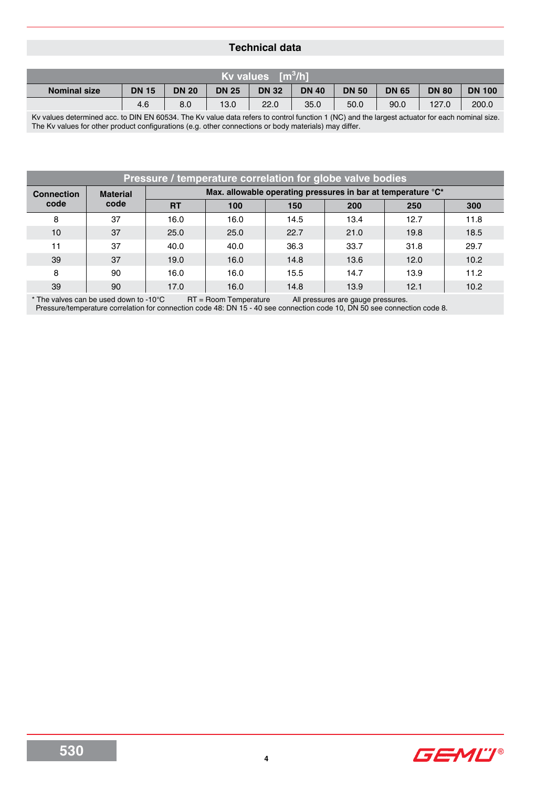### **Technical data**

| Kv values $\lceil m^3/h \rceil$ |              |              |              |              |              |              |              |              |               |
|---------------------------------|--------------|--------------|--------------|--------------|--------------|--------------|--------------|--------------|---------------|
| <b>Nominal size</b>             | <b>DN 15</b> | <b>DN 20</b> | <b>DN 25</b> | <b>DN 32</b> | <b>DN 40</b> | <b>DN 50</b> | <b>DN 65</b> | <b>DN 80</b> | <b>DN 100</b> |
|                                 | 4.6          | 8.0          | 13.0         | 22.0         | 35.0         | 50.0         | 90.0         | 127.0        | 200.0         |

Kv values determined acc. to DIN EN 60534. The Kv value data refers to control function 1 (NC) and the largest actuator for each nominal size. The Kv values for other product configurations (e.g. other connections or body materials) may differ.

| <b>Pressure / temperature correlation for globe valve bodies</b> |                 |           |                                                              |      |      |      |      |
|------------------------------------------------------------------|-----------------|-----------|--------------------------------------------------------------|------|------|------|------|
| <b>Connection</b>                                                | <b>Material</b> |           | Max. allowable operating pressures in bar at temperature °C* |      |      |      |      |
| code                                                             | code            | <b>RT</b> | 100                                                          | 150  | 200  | 250  | 300  |
| 8                                                                | 37              | 16.0      | 16.0                                                         | 14.5 | 13.4 | 12.7 | 11.8 |
| 10                                                               | 37              | 25.0      | 25.0                                                         | 22.7 | 21.0 | 19.8 | 18.5 |
| 11                                                               | 37              | 40.0      | 40.0                                                         | 36.3 | 33.7 | 31.8 | 29.7 |
| 39                                                               | 37              | 19.0      | 16.0                                                         | 14.8 | 13.6 | 12.0 | 10.2 |
| 8                                                                | 90              | 16.0      | 16.0                                                         | 15.5 | 14.7 | 13.9 | 11.2 |
| 39                                                               | 90              | 17.0      | 16.0                                                         | 14.8 | 13.9 | 12.1 | 10.2 |

**4**

 $*$  The valves can be used down to -10°C  $R =$  ROOM Temperature All pressures are gauge pressures. Pressure/temperature correlation for connection code 48: DN 15 - 40 see connection code 10, DN 50 see connection code 8.

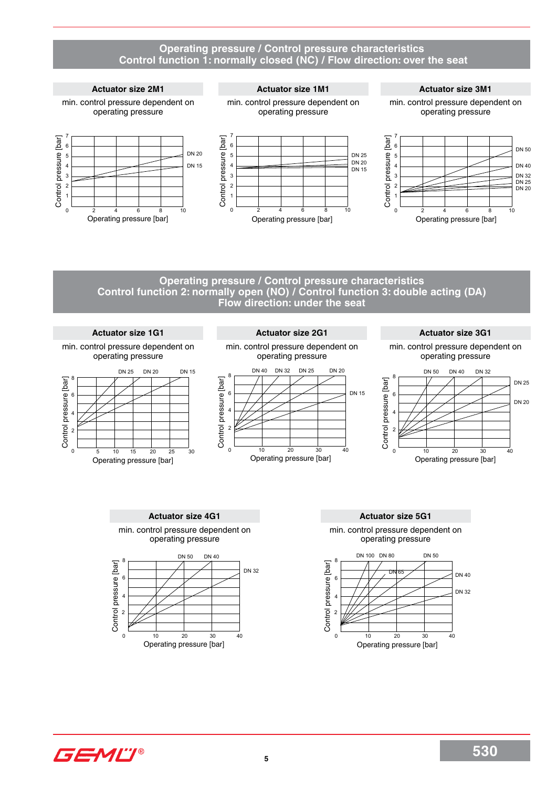#### **Operating pressure / Control pressure characteristics Control function 1: normally closed (NC) / Flow direction: over the seat**

#### **Actuator size 2M1 Actuator size 1M1 Actuator size 3M1** min. control pressure dependent on min. control pressure dependent on min. control pressure dependent on operating pressure operating pressure operating pressure 7 7 7 [bar] Control pressure [bar] Control pressure [bar] Control pressure [bar] Control pressure [bar] Control pressure [bar] 6 6 6 DN 20 Control pressure DN 25 rol pressure 5 rol pressure 5 rol pressure 5 DN 20 4 DN 15 4 4 DN 15 3 3 3 2 2 2 1 1 1  $\overline{0}$  $\mathbf{0}$  $\overline{0}$ 2 4 6 8 10 2 4 6 8 10 2 4 6 8 10 Operating pressure [bar] Operating pressure [bar] Operating pressure [bar]

#### **Operating pressure / Control pressure characteristics Control function 2: normally open (NO) / Control function 3: double acting (DA) Flow direction: under the seat**



GEMU®

DN 20

DN 25 DN 32 DN 40 DN 50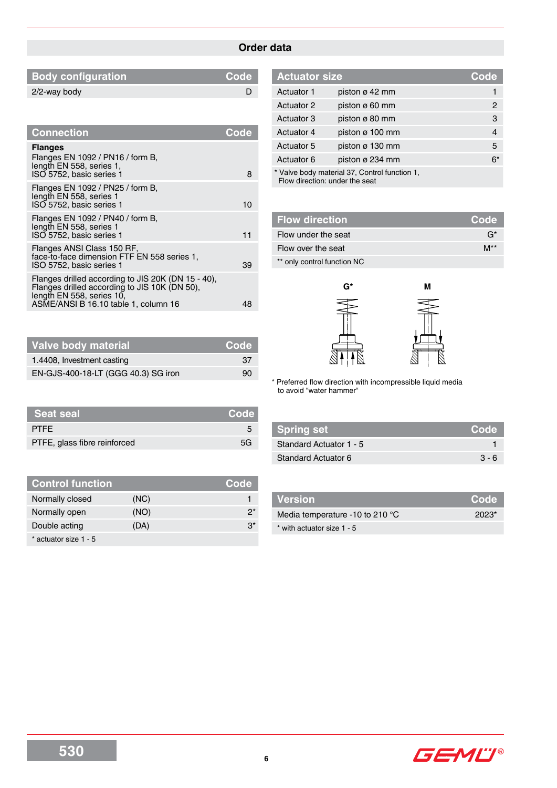## **Order data**

| Code |
|------|
|      |
|      |

| Code |
|------|
| 8    |
| 10   |
| 11   |
| 39   |
|      |
|      |

| <b>Actuator size</b> |                                               | Code           |
|----------------------|-----------------------------------------------|----------------|
| Actuator 1           | piston $\varnothing$ 42 mm                    | 1              |
| Actuator 2           | piston $\varnothing$ 60 mm                    | 2              |
| Actuator 3           | piston $\varnothing$ 80 mm                    | 3              |
| Actuator 4           | piston $\varnothing$ 100 mm                   | $\overline{4}$ |
| Actuator 5           | piston ø 130 mm                               | 5              |
| Actuator 6           | piston ø 234 mm                               | $6*$           |
|                      | * Valve body material 37, Control function 1, |                |

Flow direction: under the seat

| <b>Flow direction</b>       | <b>Code</b>      |
|-----------------------------|------------------|
| Flow under the seat         | G*               |
| Flow over the seat          | $M^{\star\star}$ |
| ** only control function NC |                  |



\* Preferred flow direction with incompressible liquid media to avoid "water hammer"

| Spring set              | Code    |
|-------------------------|---------|
| Standard Actuator 1 - 5 |         |
| Standard Actuator 6     | $3 - 6$ |

| <b>Control function</b> |      | Code  |
|-------------------------|------|-------|
| Normally closed         | (NC) |       |
| Normally open           | (NO) | ク*    |
| Double acting           | (DA) | $3^*$ |
| * actuator size 1 - 5   |      |       |

**Seat seal Code** PTFE 5 PTFE, glass fibre reinforced 5G

**Valve body material Code** 1.4408, Investment casting 37 EN-GJS-400-18-LT (GGG 40.3) SG iron 90

| Version                                   | Code  |
|-------------------------------------------|-------|
| Media temperature -10 to 210 $^{\circ}$ C | 2023* |
| * with actuator size 1 - 5                |       |

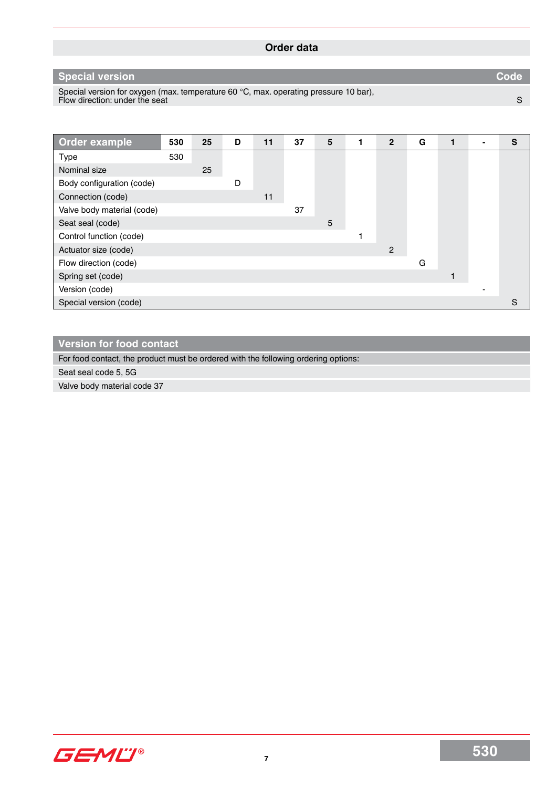| Order data                                                                                                             |      |
|------------------------------------------------------------------------------------------------------------------------|------|
|                                                                                                                        |      |
| Special version                                                                                                        | Code |
| Special version for oxygen (max. temperature 60 °C, max. operating pressure 10 bar),<br>Flow direction: under the seat |      |

| Order example              | 530 | 25 | D | 11 | 37 | 5 | $\overline{2}$ | G | 1 |   | S |
|----------------------------|-----|----|---|----|----|---|----------------|---|---|---|---|
| <b>Type</b>                | 530 |    |   |    |    |   |                |   |   |   |   |
| Nominal size               |     | 25 |   |    |    |   |                |   |   |   |   |
| Body configuration (code)  |     |    | D |    |    |   |                |   |   |   |   |
| Connection (code)          |     |    |   | 11 |    |   |                |   |   |   |   |
| Valve body material (code) |     |    |   |    | 37 |   |                |   |   |   |   |
| Seat seal (code)           |     |    |   |    |    | 5 |                |   |   |   |   |
| Control function (code)    |     |    |   |    |    |   |                |   |   |   |   |
| Actuator size (code)       |     |    |   |    |    |   | $\overline{2}$ |   |   |   |   |
| Flow direction (code)      |     |    |   |    |    |   |                | G |   |   |   |
| Spring set (code)          |     |    |   |    |    |   |                |   |   |   |   |
| Version (code)             |     |    |   |    |    |   |                |   |   | - |   |
| Special version (code)     |     |    |   |    |    |   |                |   |   |   | S |

## **Version for food contact**

For food contact, the product must be ordered with the following ordering options:

Seat seal code 5, 5G

Valve body material code 37

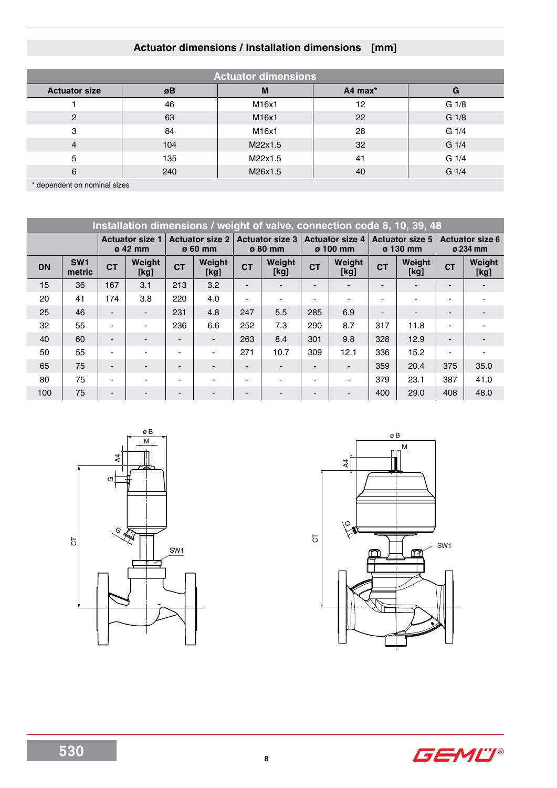## **Actuator dimensions / Installation dimensions [mm]**

| <b>Actuator dimensions</b> |     |         |         |                  |  |  |  |  |  |  |  |
|----------------------------|-----|---------|---------|------------------|--|--|--|--|--|--|--|
| <b>Actuator size</b>       | øΒ  | M       | A4 max* | G                |  |  |  |  |  |  |  |
|                            | 46  | M16x1   | 12      | G <sub>1/8</sub> |  |  |  |  |  |  |  |
| $\mathbf{2}$               | 63  | M16x1   | 22      | G 1/8            |  |  |  |  |  |  |  |
| 3                          | 84  | M16x1   | 28      | G <sub>1/4</sub> |  |  |  |  |  |  |  |
| $\overline{4}$             | 104 | M22x1.5 | 32      | G <sub>1/4</sub> |  |  |  |  |  |  |  |
| 5                          | 135 | M22x1.5 | 41      | G <sub>1/4</sub> |  |  |  |  |  |  |  |
| 6                          | 240 | M26x1.5 | 40      | $G_1/4$          |  |  |  |  |  |  |  |

\* dependent on nominal sizes

|                                          | Installation dimensions / weight of valve, connection code 8, 10, 39, 48 |                                   |                |                          |                                   |                          |                                           |                          |                                    |                                           |                |                          |                |
|------------------------------------------|--------------------------------------------------------------------------|-----------------------------------|----------------|--------------------------|-----------------------------------|--------------------------|-------------------------------------------|--------------------------|------------------------------------|-------------------------------------------|----------------|--------------------------|----------------|
| <b>Actuator size 1</b><br>$\sigma$ 42 mm |                                                                          | <b>Actuator size 2</b><br>ø 60 mm |                |                          | <b>Actuator size 3</b><br>ø 80 mm |                          | <b>Actuator size 4</b><br>$\sigma$ 100 mm |                          | <b>Actuator size 5</b><br>ø 130 mm | <b>Actuator size 6</b><br>$\sigma$ 234 mm |                |                          |                |
| <b>DN</b>                                | SW <sub>1</sub><br>metric                                                | <b>CT</b>                         | Weight<br>[kg] | <b>CT</b>                | Weight<br>[kg]                    | <b>CT</b>                | Weight<br>[kg]                            |                          | Weight<br>[kg]                     | <b>CT</b>                                 | Weight<br>[kg] | <b>CT</b>                | Weight<br>[kg] |
| 15                                       | 36                                                                       | 167                               | 3.1            | 213                      | 3.2                               | $\overline{\phantom{a}}$ |                                           |                          |                                    |                                           |                |                          |                |
| 20                                       | 41                                                                       | 174                               | 3.8            | 220                      | 4.0                               | $\overline{\phantom{a}}$ |                                           | $\blacksquare$           | $\blacksquare$                     |                                           |                | $\overline{\phantom{0}}$ |                |
| 25                                       | 46                                                                       | $\overline{\phantom{0}}$          | $\blacksquare$ | 231                      | 4.8                               | 247                      | 5.5                                       | 285                      | 6.9                                |                                           |                |                          |                |
| 32                                       | 55                                                                       | $\overline{\phantom{0}}$          |                | 236                      | 6.6                               | 252                      | 7.3                                       | 290                      | 8.7                                | 317                                       | 11.8           | $\overline{\phantom{0}}$ |                |
| 40                                       | 60                                                                       | $\overline{\phantom{0}}$          |                | $\overline{\phantom{0}}$ | $\overline{\phantom{a}}$          | 263                      | 8.4                                       | 301                      | 9.8                                | 328                                       | 12.9           | $\blacksquare$           |                |
| 50                                       | 55                                                                       | ٠                                 |                | $\blacksquare$           | $\overline{\phantom{0}}$          | 271                      | 10.7                                      | 309                      | 12.1                               | 336                                       | 15.2           | $\blacksquare$           |                |
| 65                                       | 75                                                                       | $\overline{\phantom{0}}$          |                |                          | $\overline{\phantom{0}}$          |                          |                                           | $\overline{\phantom{0}}$ | $\overline{\phantom{0}}$           | 359                                       | 20.4           | 375                      | 35.0           |
| 80                                       | 75                                                                       | $\blacksquare$                    |                | $\overline{\phantom{0}}$ | $\blacksquare$                    | $\overline{\phantom{a}}$ |                                           | $\blacksquare$           | ٠                                  | 379                                       | 23.1           | 387                      | 41.0           |
| 100                                      | 75                                                                       | $\overline{\phantom{0}}$          |                | -                        | $\overline{\phantom{0}}$          |                          |                                           | $\overline{\phantom{0}}$ |                                    | 400                                       | 29.0           | 408                      | 48.0           |





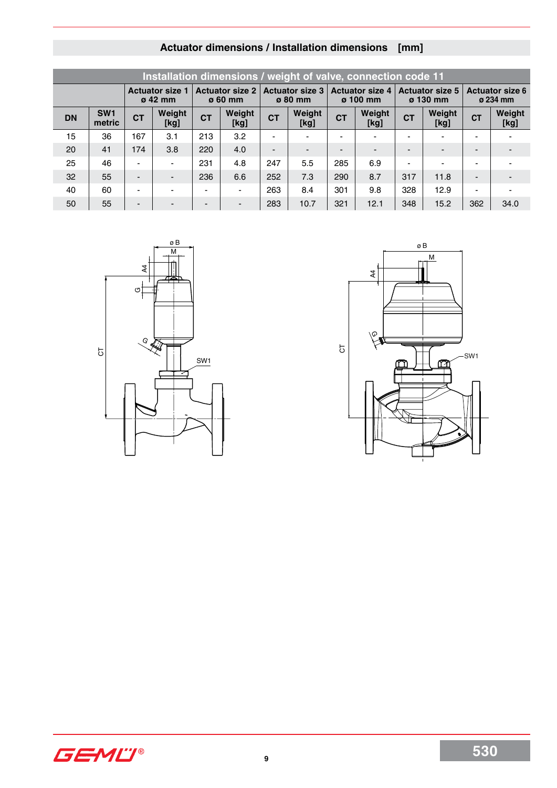|                                          | Installation dimensions / weight of valve, connection code 11 |                          |                          |           |                                          |                                   |                |                                           |                          |                                           |                |                                           |                |  |
|------------------------------------------|---------------------------------------------------------------|--------------------------|--------------------------|-----------|------------------------------------------|-----------------------------------|----------------|-------------------------------------------|--------------------------|-------------------------------------------|----------------|-------------------------------------------|----------------|--|
| <b>Actuator size 1</b><br>$\sigma$ 42 mm |                                                               |                          |                          |           | <b>Actuator size 2</b><br>$\sigma$ 60 mm | <b>Actuator size 3</b><br>ø 80 mm |                | <b>Actuator size 4</b><br>$\sigma$ 100 mm |                          | <b>Actuator size 5</b><br>$\sigma$ 130 mm |                | <b>Actuator size 6</b><br>$\alpha$ 234 mm |                |  |
| <b>DN</b>                                | SW <sub>1</sub><br>metric                                     | <b>CT</b>                | Weight<br>[kg]           | <b>CT</b> | Weight<br>[kg]                           | <b>CT</b>                         | Weight<br>[kg] | <b>CT</b>                                 | Weight<br>[kg]           | <b>CT</b>                                 | Weight<br>[kg] | <b>CT</b>                                 | Weight<br>[kg] |  |
| 15                                       | 36                                                            | 167                      | 3.1                      | 213       | 3.2                                      | $\overline{\phantom{a}}$          |                | -                                         | $\overline{\phantom{0}}$ |                                           | -              | $\overline{\phantom{0}}$                  |                |  |
| 20                                       | 41                                                            | 174                      | 3.8                      | 220       | 4.0                                      | $\overline{\phantom{0}}$          |                |                                           |                          |                                           |                |                                           |                |  |
| 25                                       | 46                                                            | $\blacksquare$           | $\blacksquare$           | 231       | 4.8                                      | 247                               | 5.5            | 285                                       | 6.9                      |                                           |                | $\overline{\phantom{0}}$                  |                |  |
| 32                                       | 55                                                            | $\overline{\phantom{0}}$ | $\overline{\phantom{0}}$ | 236       | 6.6                                      | 252                               | 7.3            | 290                                       | 8.7                      | 317                                       | 11.8           | $\overline{\phantom{0}}$                  |                |  |
| 40                                       | 60                                                            | $\blacksquare$           | $\overline{\phantom{0}}$ |           | $\blacksquare$                           | 263                               | 8.4            | 301                                       | 9.8                      | 328                                       | 12.9           | $\blacksquare$                            |                |  |
| 50                                       | 55                                                            | $\overline{\phantom{0}}$ |                          |           | $\blacksquare$                           | 283                               | 10.7           | 321                                       | 12.1                     | 348                                       | 15.2           | 362                                       | 34.0           |  |

# **Actuator dimensions / Installation dimensions [mm]**





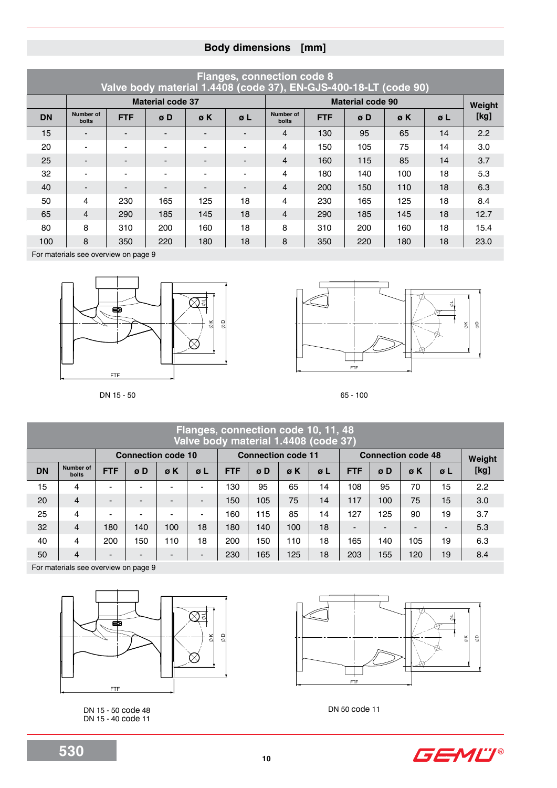## **Body dimensions [mm]**

|           | <b>Flanges, connection code 8</b><br>Valve body material 1.4408 (code 37), EN-GJS-400-18-LT (code 90) |            |                         |                          |                          |                    |            |                         |     |            |        |  |  |  |  |
|-----------|-------------------------------------------------------------------------------------------------------|------------|-------------------------|--------------------------|--------------------------|--------------------|------------|-------------------------|-----|------------|--------|--|--|--|--|
|           |                                                                                                       |            | <b>Material code 37</b> |                          |                          |                    |            | <b>Material code 90</b> |     |            | Weight |  |  |  |  |
| <b>DN</b> | Number of<br><b>bolts</b>                                                                             | <b>FTF</b> | øD                      | øΚ                       | $\sigma L$               | Number of<br>bolts | <b>FTF</b> | øD                      | øK  | $\sigma L$ | [kg]   |  |  |  |  |
| 15        | $\overline{\phantom{0}}$                                                                              |            | -                       | -                        | $\blacksquare$           | 4                  | 130        | 95                      | 65  | 14         | 2.2    |  |  |  |  |
| 20        | $\blacksquare$                                                                                        |            |                         | $\overline{\phantom{0}}$ | $\overline{\phantom{a}}$ | 4                  | 150        | 105                     | 75  | 14         | 3.0    |  |  |  |  |
| 25        | -                                                                                                     |            |                         |                          | $\overline{\phantom{0}}$ | $\overline{4}$     | 160        | 115                     | 85  | 14         | 3.7    |  |  |  |  |
| 32        | ÷                                                                                                     |            |                         | ۰                        | $\blacksquare$           | 4                  | 180        | 140                     | 100 | 18         | 5.3    |  |  |  |  |
| 40        | $\overline{\phantom{0}}$                                                                              |            |                         |                          | $\blacksquare$           | $\overline{4}$     | 200        | 150                     | 110 | 18         | 6.3    |  |  |  |  |
| 50        | $\overline{4}$                                                                                        | 230        | 165                     | 125                      | 18                       | 4                  | 230        | 165                     | 125 | 18         | 8.4    |  |  |  |  |
| 65        | $\overline{4}$                                                                                        | 290        | 185                     | 145                      | 18                       | $\overline{4}$     | 290        | 185                     | 145 | 18         | 12.7   |  |  |  |  |
| 80        | 8                                                                                                     | 310        | 200                     | 160                      | 18                       | 8                  | 310        | 200                     | 160 | 18         | 15.4   |  |  |  |  |
| 100       | 8                                                                                                     | 350        | 220                     | 180                      | 18                       | 8                  | 350        | 220                     | 180 | 18         | 23.0   |  |  |  |  |

For materials see overview on page 9





DN 15 - 50 65 - 100

|           | Flanges, connection code 10, 11, 48<br>Valve body material 1.4408 (code 37) |                                                                                     |     |                          |                          |            |     |     |            |                |     |        |                          |      |
|-----------|-----------------------------------------------------------------------------|-------------------------------------------------------------------------------------|-----|--------------------------|--------------------------|------------|-----|-----|------------|----------------|-----|--------|--------------------------|------|
|           |                                                                             | <b>Connection code 11</b><br><b>Connection code 10</b><br><b>Connection code 48</b> |     |                          |                          |            |     |     |            |                |     | Weight |                          |      |
| <b>DN</b> | Number of<br><b>bolts</b>                                                   | <b>FTF</b>                                                                          | øD  | øΚ                       | øΓ                       | <b>FTF</b> | øD  | øK  | $\sigma$ L | <b>FTF</b>     | øD  | øK     | øΓ                       | [kg] |
| 15        | 4                                                                           | -                                                                                   |     |                          | $\blacksquare$           | 130        | 95  | 65  | 14         | 108            | 95  | 70     | 15                       | 2.2  |
| 20        | $\overline{4}$                                                              | -                                                                                   |     | $\overline{\phantom{0}}$ | $\overline{\phantom{0}}$ | 150        | 105 | 75  | 14         | 117            | 100 | 75     | 15                       | 3.0  |
| 25        | 4                                                                           |                                                                                     |     |                          | $\overline{\phantom{a}}$ | 160        | 115 | 85  | 14         | 127            | 125 | 90     | 19                       | 3.7  |
| 32        | $\overline{4}$                                                              | 180                                                                                 | 140 | 100                      | 18                       | 180        | 140 | 100 | 18         | $\blacksquare$ |     |        | $\overline{\phantom{a}}$ | 5.3  |
| 40        | 4                                                                           | 200                                                                                 | 50  | 110                      | 18                       | 200        | 150 | 110 | 18         | 165            | 140 | 105    | 19                       | 6.3  |
| 50        | 4                                                                           | -                                                                                   |     | -                        | $\overline{\phantom{0}}$ | 230        | 165 | 125 | 18         | 203            | 155 | 120    | 19                       | 8.4  |

For materials see overview on page 9



DN 15 - 50 code 48 DN 15 - 40 code 11



DN 50 code 11